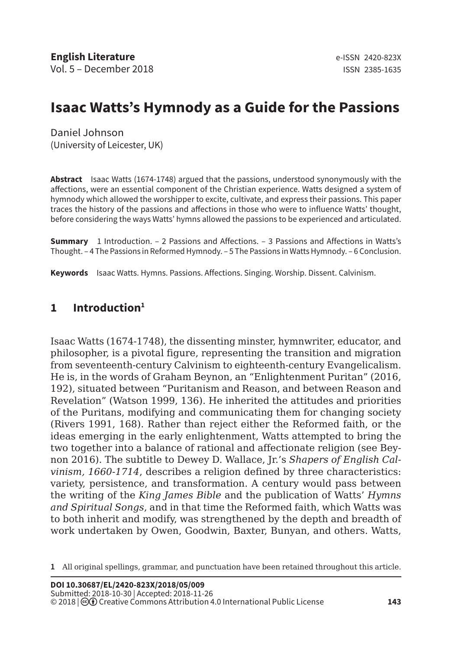# **Isaac Watts's Hymnody as a Guide for the Passions**

Daniel Johnson (University of Leicester, UK)

**Abstract** Isaac Watts (1674-1748) argued that the passions, understood synonymously with the affections, were an essential component of the Christian experience. Watts designed a system of hymnody which allowed the worshipper to excite, cultivate, and express their passions. This paper traces the history of the passions and affections in those who were to influence Watts' thought, before considering the ways Watts' hymns allowed the passions to be experienced and articulated.

**Summary** 1 Introduction. – 2 Passions and Affections. – 3 Passions and Affections in Watts's Thought. – 4 The Passions in Reformed Hymnody. – 5 The Passions in Watts Hymnody. – 6 Conclusion.

**Keywords** Isaac Watts. Hymns. Passions. Affections. Singing. Worship. Dissent. Calvinism.

## **1 Introduction1**

Isaac Watts (1674-1748), the dissenting minster, hymnwriter, educator, and philosopher, is a pivotal figure, representing the transition and migration from seventeenth-century Calvinism to eighteenth-century Evangelicalism. He is, in the words of Graham Beynon, an "Enlightenment Puritan" (2016, 192), situated between "Puritanism and Reason, and between Reason and Revelation" (Watson 1999, 136). He inherited the attitudes and priorities of the Puritans, modifying and communicating them for changing society (Rivers 1991, 168). Rather than reject either the Reformed faith, or the ideas emerging in the early enlightenment, Watts attempted to bring the two together into a balance of rational and affectionate religion (see Beynon 2016). The subtitle to Dewey D. Wallace, Jr.'s *Shapers of English Calvinism, 1660-1714*, describes a religion defined by three characteristics: variety, persistence, and transformation. A century would pass between the writing of the *King James Bible* and the publication of Watts' *Hymns and Spiritual Songs*, and in that time the Reformed faith, which Watts was to both inherit and modify, was strengthened by the depth and breadth of work undertaken by Owen, Goodwin, Baxter, Bunyan, and others. Watts,

**<sup>1</sup>** All original spellings, grammar, and punctuation have been retained throughout this article.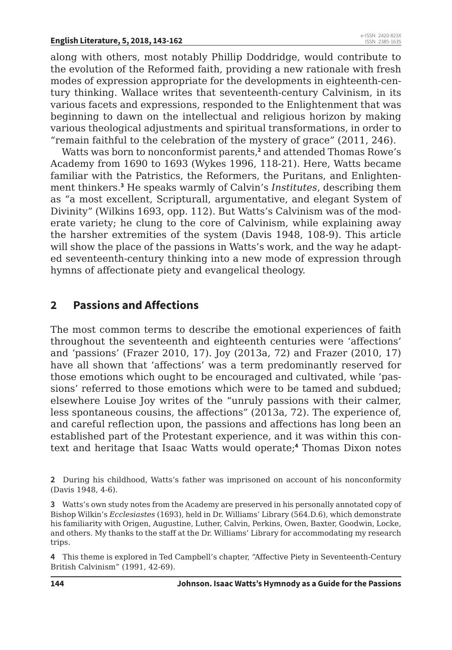along with others, most notably Phillip Doddridge, would contribute to the evolution of the Reformed faith, providing a new rationale with fresh modes of expression appropriate for the developments in eighteenth-century thinking. Wallace writes that seventeenth-century Calvinism, in its various facets and expressions, responded to the Enlightenment that was beginning to dawn on the intellectual and religious horizon by making various theological adjustments and spiritual transformations, in order to "remain faithful to the celebration of the mystery of grace" (2011, 246).

Watts was born to nonconformist parents,**<sup>2</sup>** and attended Thomas Rowe's Academy from 1690 to 1693 (Wykes 1996, 118-21). Here, Watts became familiar with the Patristics, the Reformers, the Puritans, and Enlightenment thinkers.**<sup>3</sup>** He speaks warmly of Calvin's *Institutes*, describing them as "a most excellent, Scripturall, argumentative, and elegant System of Divinity" (Wilkins 1693, opp. 112). But Watts's Calvinism was of the moderate variety; he clung to the core of Calvinism, while explaining away the harsher extremities of the system (Davis 1948, 108-9). This article will show the place of the passions in Watts's work, and the way he adapted seventeenth-century thinking into a new mode of expression through hymns of affectionate piety and evangelical theology.

## **2 Passions and Affections**

The most common terms to describe the emotional experiences of faith throughout the seventeenth and eighteenth centuries were 'affections' and 'passions' (Frazer 2010, 17). Joy (2013a, 72) and Frazer (2010, 17) have all shown that 'affections' was a term predominantly reserved for those emotions which ought to be encouraged and cultivated, while 'passions' referred to those emotions which were to be tamed and subdued; elsewhere Louise Joy writes of the "unruly passions with their calmer, less spontaneous cousins, the affections" (2013a, 72). The experience of, and careful reflection upon, the passions and affections has long been an established part of the Protestant experience, and it was within this context and heritage that Isaac Watts would operate;**<sup>4</sup>** Thomas Dixon notes

**2** During his childhood, Watts's father was imprisoned on account of his nonconformity (Davis 1948, 4-6).

**3** Watts's own study notes from the Academy are preserved in his personally annotated copy of Bishop Wilkin's *Ecclesiastes* (1693), held in Dr. Williams' Library (564.D.6), which demonstrate his familiarity with Origen, Augustine, Luther, Calvin, Perkins, Owen, Baxter, Goodwin, Locke, and others. My thanks to the staff at the Dr. Williams' Library for accommodating my research trips.

**4** This theme is explored in Ted Campbell's chapter, "Affective Piety in Seventeenth-Century British Calvinism" (1991, 42-69).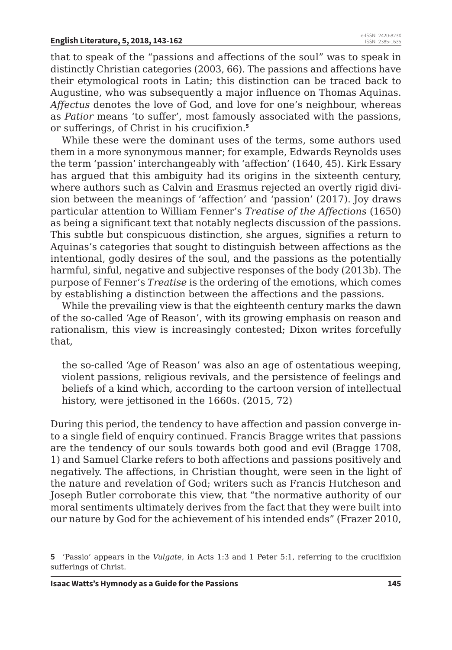that to speak of the "passions and affections of the soul" was to speak in distinctly Christian categories (2003, 66). The passions and affections have their etymological roots in Latin; this distinction can be traced back to Augustine, who was subsequently a major influence on Thomas Aquinas. *Affectus* denotes the love of God, and love for one's neighbour, whereas as *Patior* means 'to suffer', most famously associated with the passions, or sufferings, of Christ in his crucifixion.**<sup>5</sup>**

While these were the dominant uses of the terms, some authors used them in a more synonymous manner; for example, Edwards Reynolds uses the term 'passion' interchangeably with 'affection' (1640, 45). Kirk Essary has argued that this ambiguity had its origins in the sixteenth century, where authors such as Calvin and Erasmus rejected an overtly rigid division between the meanings of 'affection' and 'passion' (2017). Joy draws particular attention to William Fenner's *Treatise of the Affections* (1650) as being a significant text that notably neglects discussion of the passions. This subtle but conspicuous distinction, she argues, signifies a return to Aquinas's categories that sought to distinguish between affections as the intentional, godly desires of the soul, and the passions as the potentially harmful, sinful, negative and subjective responses of the body (2013b). The purpose of Fenner's *Treatise* is the ordering of the emotions, which comes by establishing a distinction between the affections and the passions.

While the prevailing view is that the eighteenth century marks the dawn of the so-called 'Age of Reason', with its growing emphasis on reason and rationalism, this view is increasingly contested; Dixon writes forcefully that,

the so-called 'Age of Reason' was also an age of ostentatious weeping, violent passions, religious revivals, and the persistence of feelings and beliefs of a kind which, according to the cartoon version of intellectual history, were jettisoned in the 1660s. (2015, 72)

During this period, the tendency to have affection and passion converge into a single field of enquiry continued. Francis Bragge writes that passions are the tendency of our souls towards both good and evil (Bragge 1708, 1) and Samuel Clarke refers to both affections and passions positively and negatively. The affections, in Christian thought, were seen in the light of the nature and revelation of God; writers such as Francis Hutcheson and Joseph Butler corroborate this view, that "the normative authority of our moral sentiments ultimately derives from the fact that they were built into our nature by God for the achievement of his intended ends" (Frazer 2010,

**<sup>5</sup>** 'Passio' appears in the *Vulgate*, in Acts 1:3 and 1 Peter 5:1, referring to the crucifixion sufferings of Christ.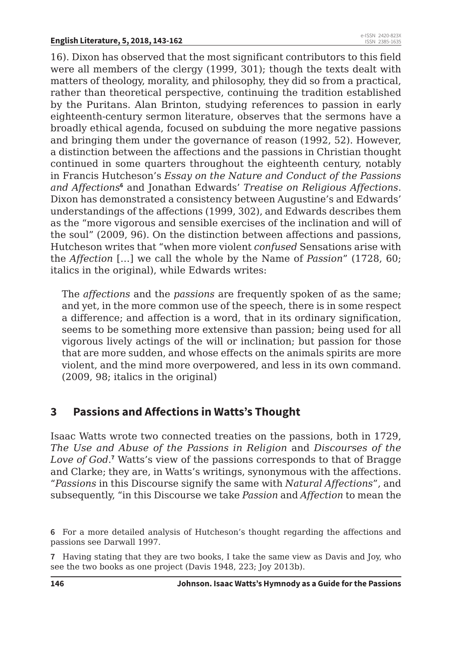16). Dixon has observed that the most significant contributors to this field were all members of the clergy (1999, 301); though the texts dealt with matters of theology, morality, and philosophy, they did so from a practical, rather than theoretical perspective, continuing the tradition established by the Puritans. Alan Brinton, studying references to passion in early eighteenth-century sermon literature, observes that the sermons have a broadly ethical agenda, focused on subduing the more negative passions and bringing them under the governance of reason (1992, 52). However, a distinction between the affections and the passions in Christian thought continued in some quarters throughout the eighteenth century, notably in Francis Hutcheson's *Essay on the Nature and Conduct of the Passions*  and Affections<sup>6</sup> and Jonathan Edwards' *Treatise on Religious Affections*. Dixon has demonstrated a consistency between Augustine's and Edwards' understandings of the affections (1999, 302), and Edwards describes them as the "more vigorous and sensible exercises of the inclination and will of the soul" (2009, 96). On the distinction between affections and passions, Hutcheson writes that "when more violent *confused* Sensations arise with the *Affection* […] we call the whole by the Name of *Passion*" (1728, 60; italics in the original), while Edwards writes:

The *affections* and the *passions* are frequently spoken of as the same; and yet, in the more common use of the speech, there is in some respect a difference; and affection is a word, that in its ordinary signification, seems to be something more extensive than passion; being used for all vigorous lively actings of the will or inclination; but passion for those that are more sudden, and whose effects on the animals spirits are more violent, and the mind more overpowered, and less in its own command. (2009, 98; italics in the original)

# **3 Passions and Affections in Watts's Thought**

Isaac Watts wrote two connected treaties on the passions, both in 1729, *The Use and Abuse of the Passions in Religion* and *Discourses of the*  Love of God.<sup>7</sup> Watts's view of the passions corresponds to that of Bragge and Clarke; they are, in Watts's writings, synonymous with the affections. "*Passions* in this Discourse signify the same with *Natural Affections*", and subsequently, "in this Discourse we take *Passion* and *Affection* to mean the

**6** For a more detailed analysis of Hutcheson's thought regarding the affections and passions see Darwall 1997.

**7** Having stating that they are two books, I take the same view as Davis and Joy, who see the two books as one project (Davis 1948, 223; Joy 2013b).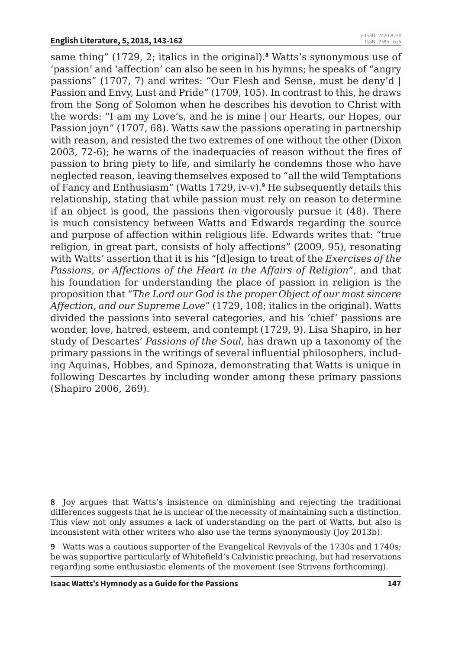same thing" (1729, 2; italics in the original).**<sup>8</sup>** Watts's synonymous use of 'passion' and 'affection' can also be seen in his hymns; he speaks of "angry passions" (1707, 7) and writes: "Our Flesh and Sense, must be deny'd | Passion and Envy, Lust and Pride" (1709, 105). In contrast to this, he draws from the Song of Solomon when he describes his devotion to Christ with the words: "I am my Love's, and he is mine | our Hearts, our Hopes, our Passion joyn" (1707, 68). Watts saw the passions operating in partnership with reason, and resisted the two extremes of one without the other (Dixon 2003, 72-6); he warns of the inadequacies of reason without the fires of passion to bring piety to life, and similarly he condemns those who have neglected reason, leaving themselves exposed to "all the wild Temptations of Fancy and Enthusiasm" (Watts 1729, iv-v).**<sup>9</sup>** He subsequently details this relationship, stating that while passion must rely on reason to determine if an object is good, the passions then vigorously pursue it (48). There is much consistency between Watts and Edwards regarding the source and purpose of affection within religious life. Edwards writes that: "true religion, in great part, consists of holy affections" (2009, 95), resonating with Watts' assertion that it is his "[d]esign to treat of the *Exercises of the Passions, or Affections of the Heart in the Affairs of Religion*", and that his foundation for understanding the place of passion in religion is the proposition that "*The Lord our God is the proper Object of our most sincere Affection, and our Supreme Love*" (1729, 108; italics in the original). Watts divided the passions into several categories, and his 'chief' passions are wonder, love, hatred, esteem, and contempt (1729, 9). Lisa Shapiro, in her study of Descartes' *Passions of the Soul*, has drawn up a taxonomy of the primary passions in the writings of several influential philosophers, including Aquinas, Hobbes, and Spinoza, demonstrating that Watts is unique in following Descartes by including wonder among these primary passions (Shapiro 2006, 269).

**9** Watts was a cautious supporter of the Evangelical Revivals of the 1730s and 1740s; he was supportive particularly of Whitefield's Calvinistic preaching, but had reservations regarding some enthusiastic elements of the movement (see Strivens forthcoming).

**<sup>8</sup>** Joy argues that Watts's insistence on diminishing and rejecting the traditional differences suggests that he is unclear of the necessity of maintaining such a distinction. This view not only assumes a lack of understanding on the part of Watts, but also is inconsistent with other writers who also use the terms synonymously (Joy 2013b).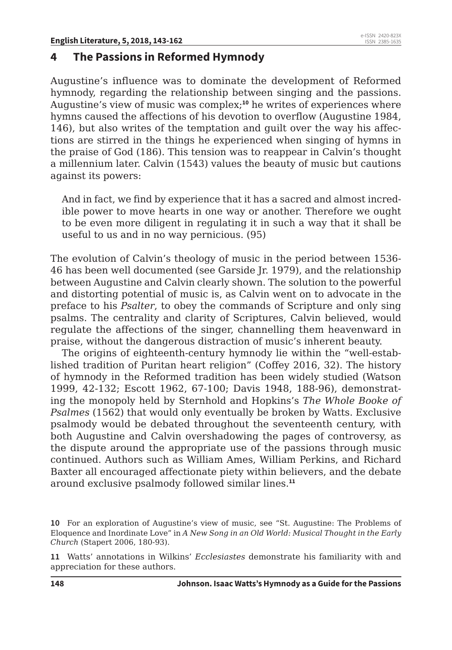## **4 The Passions in Reformed Hymnody**

Augustine's influence was to dominate the development of Reformed hymnody, regarding the relationship between singing and the passions. Augustine's view of music was complex;**<sup>10</sup>** he writes of experiences where hymns caused the affections of his devotion to overflow (Augustine 1984, 146), but also writes of the temptation and guilt over the way his affections are stirred in the things he experienced when singing of hymns in the praise of God (186). This tension was to reappear in Calvin's thought a millennium later. Calvin (1543) values the beauty of music but cautions against its powers:

And in fact, we find by experience that it has a sacred and almost incredible power to move hearts in one way or another. Therefore we ought to be even more diligent in regulating it in such a way that it shall be useful to us and in no way pernicious. (95)

The evolution of Calvin's theology of music in the period between 1536- 46 has been well documented (see Garside Jr. 1979), and the relationship between Augustine and Calvin clearly shown. The solution to the powerful and distorting potential of music is, as Calvin went on to advocate in the preface to his *Psalter*, to obey the commands of Scripture and only sing psalms. The centrality and clarity of Scriptures, Calvin believed, would regulate the affections of the singer, channelling them heavenward in praise, without the dangerous distraction of music's inherent beauty.

The origins of eighteenth-century hymnody lie within the "well-established tradition of Puritan heart religion" (Coffey 2016, 32). The history of hymnody in the Reformed tradition has been widely studied (Watson 1999, 42-132; Escott 1962, 67-100; Davis 1948, 188-96), demonstrating the monopoly held by Sternhold and Hopkins's *The Whole Booke of Psalmes* (1562) that would only eventually be broken by Watts. Exclusive psalmody would be debated throughout the seventeenth century, with both Augustine and Calvin overshadowing the pages of controversy, as the dispute around the appropriate use of the passions through music continued. Authors such as William Ames, William Perkins, and Richard Baxter all encouraged affectionate piety within believers, and the debate around exclusive psalmody followed similar lines.**<sup>11</sup>**

**<sup>10</sup>** For an exploration of Augustine's view of music, see "St. Augustine: The Problems of Eloquence and Inordinate Love" in *A New Song in an Old World: Musical Thought in the Early Church* (Stapert 2006, 180-93).

**<sup>11</sup>** Watts' annotations in Wilkins' *Ecclesiastes* demonstrate his familiarity with and appreciation for these authors.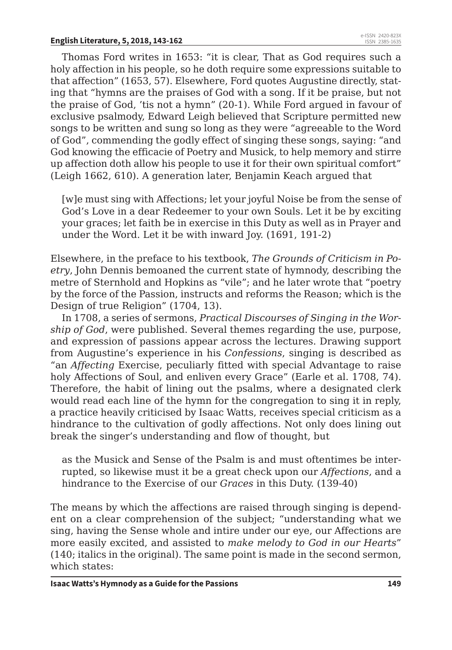Thomas Ford writes in 1653: "it is clear, That as God requires such a holy affection in his people, so he doth require some expressions suitable to that affection" (1653, 57). Elsewhere, Ford quotes Augustine directly, stating that "hymns are the praises of God with a song. If it be praise, but not the praise of God, 'tis not a hymn" (20-1). While Ford argued in favour of exclusive psalmody, Edward Leigh believed that Scripture permitted new songs to be written and sung so long as they were "agreeable to the Word of God", commending the godly effect of singing these songs, saying: "and God knowing the efficacie of Poetry and Musick, to help memory and stirre up affection doth allow his people to use it for their own spiritual comfort" (Leigh 1662, 610). A generation later, Benjamin Keach argued that

[w]e must sing with Affections; let your joyful Noise be from the sense of God's Love in a dear Redeemer to your own Souls. Let it be by exciting your graces; let faith be in exercise in this Duty as well as in Prayer and under the Word. Let it be with inward Joy. (1691, 191-2)

Elsewhere, in the preface to his textbook, *The Grounds of Criticism in Poetry*, John Dennis bemoaned the current state of hymnody, describing the metre of Sternhold and Hopkins as "vile"; and he later wrote that "poetry by the force of the Passion, instructs and reforms the Reason; which is the Design of true Religion" (1704, 13).

In 1708, a series of sermons, *Practical Discourses of Singing in the Worship of God*, were published. Several themes regarding the use, purpose, and expression of passions appear across the lectures. Drawing support from Augustine's experience in his *Confessions*, singing is described as "an *Affecting* Exercise, peculiarly fitted with special Advantage to raise holy Affections of Soul, and enliven every Grace" (Earle et al. 1708, 74). Therefore, the habit of lining out the psalms, where a designated clerk would read each line of the hymn for the congregation to sing it in reply, a practice heavily criticised by Isaac Watts, receives special criticism as a hindrance to the cultivation of godly affections. Not only does lining out break the singer's understanding and flow of thought, but

as the Musick and Sense of the Psalm is and must oftentimes be interrupted, so likewise must it be a great check upon our *Affections*, and a hindrance to the Exercise of our *Graces* in this Duty. (139-40)

The means by which the affections are raised through singing is dependent on a clear comprehension of the subject; "understanding what we sing, having the Sense whole and intire under our eye, our Affections are more easily excited, and assisted to *make melody to God in our Hearts*" (140; italics in the original). The same point is made in the second sermon, which states: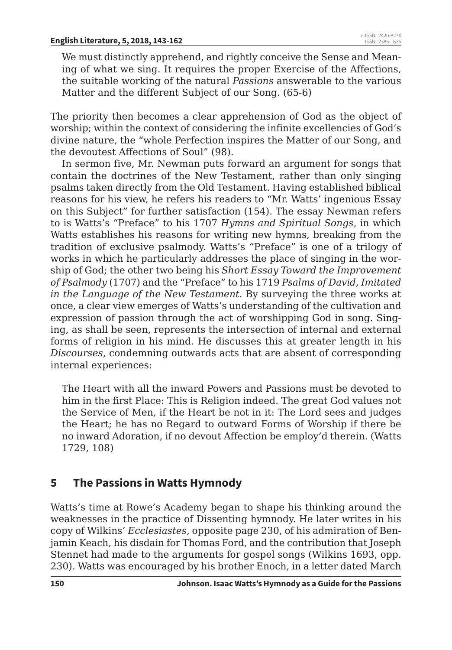We must distinctly apprehend, and rightly conceive the Sense and Meaning of what we sing. It requires the proper Exercise of the Affections, the suitable working of the natural *Passions* answerable to the various Matter and the different Subject of our Song. (65-6)

The priority then becomes a clear apprehension of God as the object of worship; within the context of considering the infinite excellencies of God's divine nature, the "whole Perfection inspires the Matter of our Song, and the devoutest Affections of Soul" (98).

In sermon five, Mr. Newman puts forward an argument for songs that contain the doctrines of the New Testament, rather than only singing psalms taken directly from the Old Testament. Having established biblical reasons for his view, he refers his readers to "Mr. Watts' ingenious Essay on this Subject" for further satisfaction (154). The essay Newman refers to is Watts's "Preface" to his 1707 *Hymns and Spiritual Songs*, in which Watts establishes his reasons for writing new hymns, breaking from the tradition of exclusive psalmody. Watts's "Preface" is one of a trilogy of works in which he particularly addresses the place of singing in the worship of God; the other two being his *Short Essay Toward the Improvement of Psalmody* (1707) and the "Preface" to his 1719 *Psalms of David, Imitated in the Language of the New Testament*. By surveying the three works at once, a clear view emerges of Watts's understanding of the cultivation and expression of passion through the act of worshipping God in song. Singing, as shall be seen, represents the intersection of internal and external forms of religion in his mind. He discusses this at greater length in his *Discourses*, condemning outwards acts that are absent of corresponding internal experiences:

The Heart with all the inward Powers and Passions must be devoted to him in the first Place: This is Religion indeed. The great God values not the Service of Men, if the Heart be not in it: The Lord sees and judges the Heart; he has no Regard to outward Forms of Worship if there be no inward Adoration, if no devout Affection be employ'd therein. (Watts 1729, 108)

## **5 The Passions in Watts Hymnody**

Watts's time at Rowe's Academy began to shape his thinking around the weaknesses in the practice of Dissenting hymnody. He later writes in his copy of Wilkins' *Ecclesiastes*, opposite page 230, of his admiration of Benjamin Keach, his disdain for Thomas Ford, and the contribution that Joseph Stennet had made to the arguments for gospel songs (Wilkins 1693, opp. 230). Watts was encouraged by his brother Enoch, in a letter dated March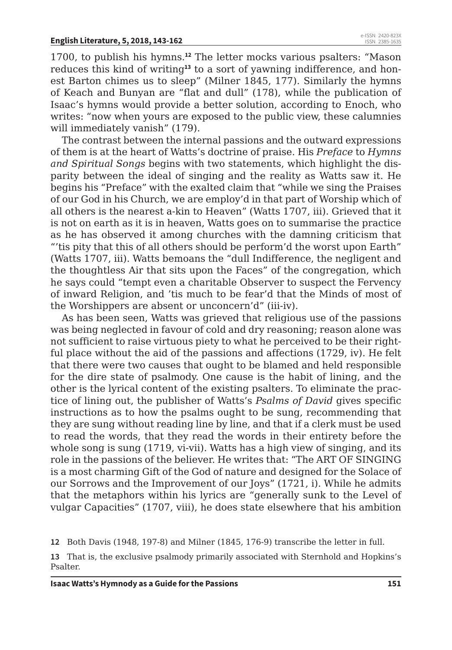1700, to publish his hymns.**<sup>12</sup>** The letter mocks various psalters: "Mason reduces this kind of writing**13** to a sort of yawning indifference, and honest Barton chimes us to sleep" (Milner 1845, 177). Similarly the hymns of Keach and Bunyan are "flat and dull" (178), while the publication of Isaac's hymns would provide a better solution, according to Enoch, who writes: "now when yours are exposed to the public view, these calumnies will immediately vanish" (179).

The contrast between the internal passions and the outward expressions of them is at the heart of Watts's doctrine of praise. His *Preface* to *Hymns and Spiritual Songs* begins with two statements, which highlight the disparity between the ideal of singing and the reality as Watts saw it. He begins his "Preface" with the exalted claim that "while we sing the Praises of our God in his Church, we are employ'd in that part of Worship which of all others is the nearest a-kin to Heaven" (Watts 1707, iii). Grieved that it is not on earth as it is in heaven, Watts goes on to summarise the practice as he has observed it among churches with the damning criticism that "'tis pity that this of all others should be perform'd the worst upon Earth" (Watts 1707, iii). Watts bemoans the "dull Indifference, the negligent and the thoughtless Air that sits upon the Faces" of the congregation, which he says could "tempt even a charitable Observer to suspect the Fervency of inward Religion, and 'tis much to be fear'd that the Minds of most of the Worshippers are absent or unconcern'd" (iii-iv).

As has been seen, Watts was grieved that religious use of the passions was being neglected in favour of cold and dry reasoning; reason alone was not sufficient to raise virtuous piety to what he perceived to be their rightful place without the aid of the passions and affections (1729, iv). He felt that there were two causes that ought to be blamed and held responsible for the dire state of psalmody. One cause is the habit of lining, and the other is the lyrical content of the existing psalters. To eliminate the practice of lining out, the publisher of Watts's *Psalms of David* gives specific instructions as to how the psalms ought to be sung, recommending that they are sung without reading line by line, and that if a clerk must be used to read the words, that they read the words in their entirety before the whole song is sung (1719, vi-vii). Watts has a high view of singing, and its role in the passions of the believer. He writes that: "The ART OF SINGING is a most charming Gift of the God of nature and designed for the Solace of our Sorrows and the Improvement of our Joys" (1721, i). While he admits that the metaphors within his lyrics are "generally sunk to the Level of vulgar Capacities" (1707, viii), he does state elsewhere that his ambition

**12** Both Davis (1948, 197-8) and Milner (1845, 176-9) transcribe the letter in full.

**13** That is, the exclusive psalmody primarily associated with Sternhold and Hopkins's Psalter.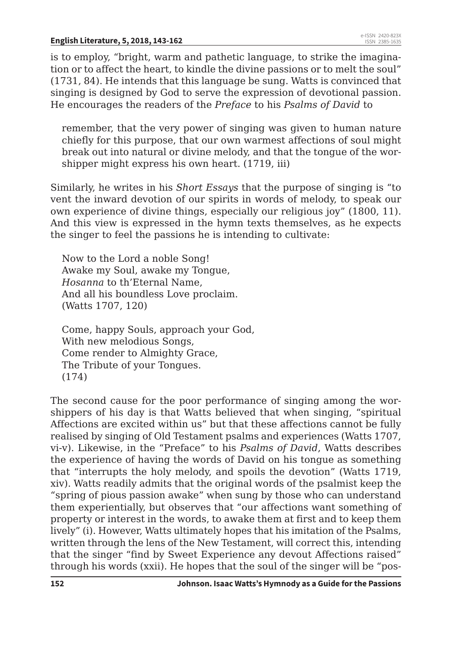is to employ, "bright, warm and pathetic language, to strike the imagination or to affect the heart, to kindle the divine passions or to melt the soul" (1731, 84). He intends that this language be sung. Watts is convinced that singing is designed by God to serve the expression of devotional passion. He encourages the readers of the *Preface* to his *Psalms of David* to

remember, that the very power of singing was given to human nature chiefly for this purpose, that our own warmest affections of soul might break out into natural or divine melody, and that the tongue of the worshipper might express his own heart. (1719, iii)

Similarly, he writes in his *Short Essays* that the purpose of singing is "to vent the inward devotion of our spirits in words of melody, to speak our own experience of divine things, especially our religious joy" (1800, 11). And this view is expressed in the hymn texts themselves, as he expects the singer to feel the passions he is intending to cultivate:

Now to the Lord a noble Song! Awake my Soul, awake my Tongue, *Hosanna* to th'Eternal Name, And all his boundless Love proclaim. (Watts 1707, 120)

Come, happy Souls, approach your God, With new melodious Songs, Come render to Almighty Grace, The Tribute of your Tongues. (174)

The second cause for the poor performance of singing among the worshippers of his day is that Watts believed that when singing, "spiritual Affections are excited within us" but that these affections cannot be fully realised by singing of Old Testament psalms and experiences (Watts 1707, vi-v). Likewise, in the "Preface" to his *Psalms of David*, Watts describes the experience of having the words of David on his tongue as something that "interrupts the holy melody, and spoils the devotion" (Watts 1719, xiv). Watts readily admits that the original words of the psalmist keep the "spring of pious passion awake" when sung by those who can understand them experientially, but observes that "our affections want something of property or interest in the words, to awake them at first and to keep them lively" (i). However, Watts ultimately hopes that his imitation of the Psalms, written through the lens of the New Testament, will correct this, intending that the singer "find by Sweet Experience any devout Affections raised" through his words (xxii). He hopes that the soul of the singer will be "pos-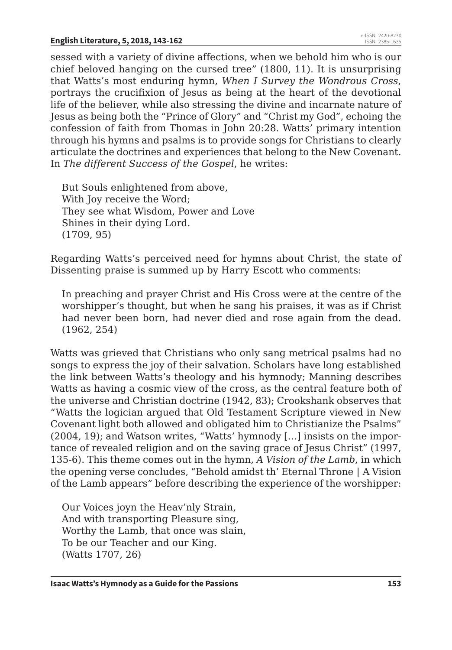sessed with a variety of divine affections, when we behold him who is our chief beloved hanging on the cursed tree" (1800, 11). It is unsurprising that Watts's most enduring hymn, *When I Survey the Wondrous Cross*, portrays the crucifixion of Jesus as being at the heart of the devotional life of the believer, while also stressing the divine and incarnate nature of Jesus as being both the "Prince of Glory" and "Christ my God", echoing the confession of faith from Thomas in John 20:28. Watts' primary intention through his hymns and psalms is to provide songs for Christians to clearly articulate the doctrines and experiences that belong to the New Covenant. In *The different Success of the Gospel*, he writes:

But Souls enlightened from above, With Joy receive the Word; They see what Wisdom, Power and Love Shines in their dying Lord. (1709, 95)

Regarding Watts's perceived need for hymns about Christ, the state of Dissenting praise is summed up by Harry Escott who comments:

In preaching and prayer Christ and His Cross were at the centre of the worshipper's thought, but when he sang his praises, it was as if Christ had never been born, had never died and rose again from the dead. (1962, 254)

Watts was grieved that Christians who only sang metrical psalms had no songs to express the joy of their salvation. Scholars have long established the link between Watts's theology and his hymnody; Manning describes Watts as having a cosmic view of the cross, as the central feature both of the universe and Christian doctrine (1942, 83); Crookshank observes that "Watts the logician argued that Old Testament Scripture viewed in New Covenant light both allowed and obligated him to Christianize the Psalms" (2004, 19); and Watson writes, "Watts' hymnody […] insists on the importance of revealed religion and on the saving grace of Jesus Christ" (1997, 135-6). This theme comes out in the hymn, *A Vision of the Lamb*, in which the opening verse concludes, "Behold amidst th' Eternal Throne | A Vision of the Lamb appears" before describing the experience of the worshipper:

Our Voices joyn the Heav'nly Strain, And with transporting Pleasure sing, Worthy the Lamb, that once was slain, To be our Teacher and our King. (Watts 1707, 26)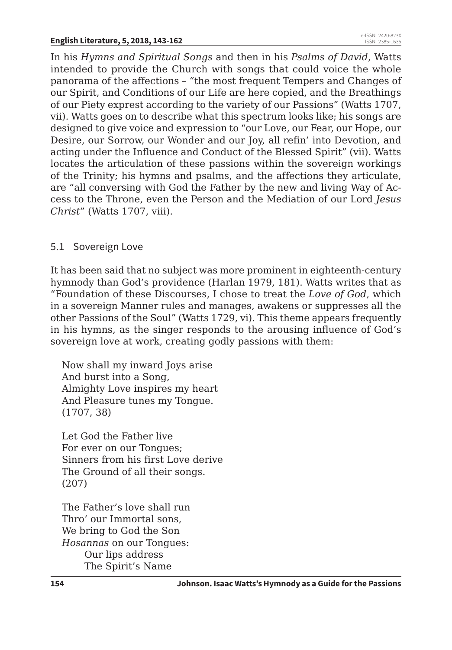In his *Hymns and Spiritual Songs* and then in his *Psalms of David*, Watts intended to provide the Church with songs that could voice the whole panorama of the affections – "the most frequent Tempers and Changes of our Spirit, and Conditions of our Life are here copied, and the Breathings of our Piety exprest according to the variety of our Passions" (Watts 1707, vii). Watts goes on to describe what this spectrum looks like; his songs are designed to give voice and expression to "our Love, our Fear, our Hope, our Desire, our Sorrow, our Wonder and our Joy, all refin' into Devotion, and acting under the Influence and Conduct of the Blessed Spirit" (vii). Watts locates the articulation of these passions within the sovereign workings of the Trinity; his hymns and psalms, and the affections they articulate, are "all conversing with God the Father by the new and living Way of Access to the Throne, even the Person and the Mediation of our Lord *Jesus Christ*" (Watts 1707, viii).

## 5.1 Sovereign Love

It has been said that no subject was more prominent in eighteenth-century hymnody than God's providence (Harlan 1979, 181). Watts writes that as "Foundation of these Discourses, I chose to treat the *Love of God*, which in a sovereign Manner rules and manages, awakens or suppresses all the other Passions of the Soul" (Watts 1729, vi). This theme appears frequently in his hymns, as the singer responds to the arousing influence of God's sovereign love at work, creating godly passions with them:

Now shall my inward Joys arise And burst into a Song, Almighty Love inspires my heart And Pleasure tunes my Tongue. (1707, 38)

Let God the Father live For ever on our Tongues; Sinners from his first Love derive The Ground of all their songs. (207)

The Father's love shall run Thro' our Immortal sons, We bring to God the Son *Hosannas* on our Tongues: Our lips address The Spirit's Name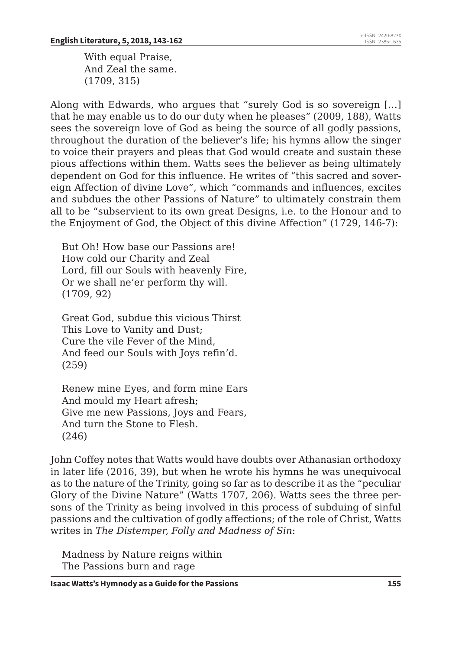With equal Praise, And Zeal the same. (1709, 315)

Along with Edwards, who argues that "surely God is so sovereign […] that he may enable us to do our duty when he pleases" (2009, 188), Watts sees the sovereign love of God as being the source of all godly passions, throughout the duration of the believer's life; his hymns allow the singer to voice their prayers and pleas that God would create and sustain these pious affections within them. Watts sees the believer as being ultimately dependent on God for this influence. He writes of "this sacred and sovereign Affection of divine Love", which "commands and influences, excites and subdues the other Passions of Nature" to ultimately constrain them all to be "subservient to its own great Designs, i.e. to the Honour and to the Enjoyment of God, the Object of this divine Affection" (1729, 146-7):

But Oh! How base our Passions are! How cold our Charity and Zeal Lord, fill our Souls with heavenly Fire, Or we shall ne'er perform thy will. (1709, 92)

Great God, subdue this vicious Thirst This Love to Vanity and Dust; Cure the vile Fever of the Mind, And feed our Souls with Joys refin'd. (259)

Renew mine Eyes, and form mine Ears And mould my Heart afresh; Give me new Passions, Joys and Fears, And turn the Stone to Flesh.  $(246)$ 

John Coffey notes that Watts would have doubts over Athanasian orthodoxy in later life (2016, 39), but when he wrote his hymns he was unequivocal as to the nature of the Trinity, going so far as to describe it as the "peculiar Glory of the Divine Nature" (Watts 1707, 206). Watts sees the three persons of the Trinity as being involved in this process of subduing of sinful passions and the cultivation of godly affections; of the role of Christ, Watts writes in *The Distemper, Folly and Madness of Sin*:

Madness by Nature reigns within The Passions burn and rage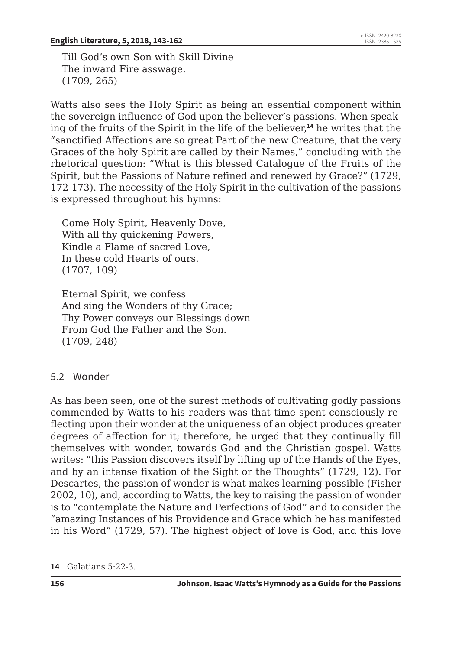Till God's own Son with Skill Divine The inward Fire asswage. (1709, 265)

Watts also sees the Holy Spirit as being an essential component within the sovereign influence of God upon the believer's passions. When speaking of the fruits of the Spirit in the life of the believer,**<sup>14</sup>** he writes that the "sanctified Affections are so great Part of the new Creature, that the very Graces of the holy Spirit are called by their Names," concluding with the rhetorical question: "What is this blessed Catalogue of the Fruits of the Spirit, but the Passions of Nature refined and renewed by Grace?" (1729, 172-173). The necessity of the Holy Spirit in the cultivation of the passions is expressed throughout his hymns:

Come Holy Spirit, Heavenly Dove, With all thy quickening Powers, Kindle a Flame of sacred Love, In these cold Hearts of ours. (1707, 109)

Eternal Spirit, we confess And sing the Wonders of thy Grace; Thy Power conveys our Blessings down From God the Father and the Son. (1709, 248)

#### 5.2 Wonder

As has been seen, one of the surest methods of cultivating godly passions commended by Watts to his readers was that time spent consciously reflecting upon their wonder at the uniqueness of an object produces greater degrees of affection for it; therefore, he urged that they continually fill themselves with wonder, towards God and the Christian gospel. Watts writes: "this Passion discovers itself by lifting up of the Hands of the Eyes, and by an intense fixation of the Sight or the Thoughts" (1729, 12). For Descartes, the passion of wonder is what makes learning possible (Fisher 2002, 10), and, according to Watts, the key to raising the passion of wonder is to "contemplate the Nature and Perfections of God" and to consider the "amazing Instances of his Providence and Grace which he has manifested in his Word" (1729, 57). The highest object of love is God, and this love

**14** Galatians 5:22-3.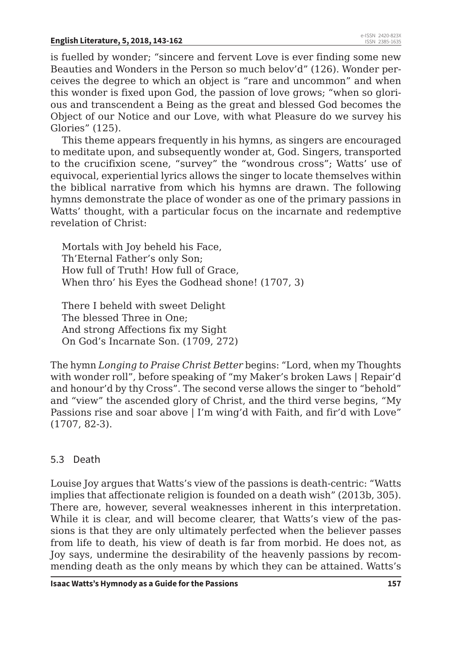is fuelled by wonder; "sincere and fervent Love is ever finding some new Beauties and Wonders in the Person so much belov'd" (126). Wonder perceives the degree to which an object is "rare and uncommon" and when this wonder is fixed upon God, the passion of love grows; "when so glorious and transcendent a Being as the great and blessed God becomes the Object of our Notice and our Love, with what Pleasure do we survey his Glories" (125).

This theme appears frequently in his hymns, as singers are encouraged to meditate upon, and subsequently wonder at, God. Singers, transported to the crucifixion scene, "survey" the "wondrous cross"; Watts' use of equivocal, experiential lyrics allows the singer to locate themselves within the biblical narrative from which his hymns are drawn. The following hymns demonstrate the place of wonder as one of the primary passions in Watts' thought, with a particular focus on the incarnate and redemptive revelation of Christ:

Mortals with Joy beheld his Face, Th'Eternal Father's only Son; How full of Truth! How full of Grace, When thro' his Eyes the Godhead shone! (1707, 3)

There I beheld with sweet Delight The blessed Three in One; And strong Affections fix my Sight On God's Incarnate Son. (1709, 272)

The hymn *Longing to Praise Christ Better* begins: "Lord, when my Thoughts with wonder roll", before speaking of "my Maker's broken Laws | Repair'd and honour'd by thy Cross". The second verse allows the singer to "behold" and "view" the ascended glory of Christ, and the third verse begins, "My Passions rise and soar above | I'm wing'd with Faith, and fir'd with Love" (1707, 82-3).

#### 5.3 Death

Louise Joy argues that Watts's view of the passions is death-centric: "Watts implies that affectionate religion is founded on a death wish" (2013b, 305). There are, however, several weaknesses inherent in this interpretation. While it is clear, and will become clearer, that Watts's view of the passions is that they are only ultimately perfected when the believer passes from life to death, his view of death is far from morbid. He does not, as Joy says, undermine the desirability of the heavenly passions by recommending death as the only means by which they can be attained. Watts's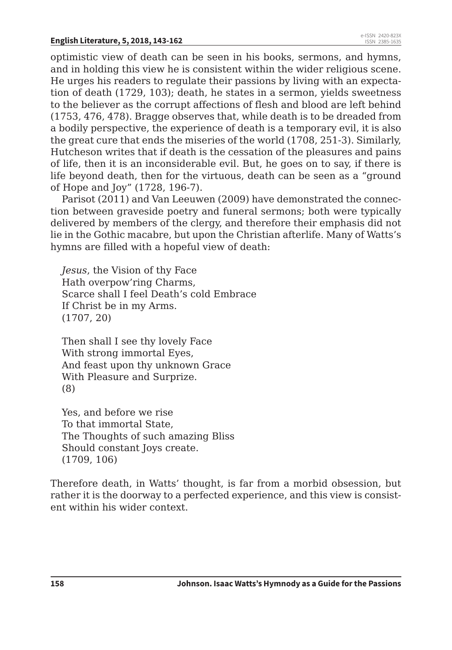optimistic view of death can be seen in his books, sermons, and hymns, and in holding this view he is consistent within the wider religious scene. He urges his readers to regulate their passions by living with an expectation of death (1729, 103); death, he states in a sermon, yields sweetness to the believer as the corrupt affections of flesh and blood are left behind (1753, 476, 478). Bragge observes that, while death is to be dreaded from a bodily perspective, the experience of death is a temporary evil, it is also the great cure that ends the miseries of the world (1708, 251-3). Similarly, Hutcheson writes that if death is the cessation of the pleasures and pains of life, then it is an inconsiderable evil. But, he goes on to say, if there is life beyond death, then for the virtuous, death can be seen as a "ground of Hope and Joy" (1728, 196-7).

Parisot (2011) and Van Leeuwen (2009) have demonstrated the connection between graveside poetry and funeral sermons; both were typically delivered by members of the clergy, and therefore their emphasis did not lie in the Gothic macabre, but upon the Christian afterlife. Many of Watts's hymns are filled with a hopeful view of death:

*Jesus*, the Vision of thy Face Hath overpow'ring Charms, Scarce shall I feel Death's cold Embrace If Christ be in my Arms. (1707, 20)

Then shall I see thy lovely Face With strong immortal Eyes, And feast upon thy unknown Grace With Pleasure and Surprize. (8)

Yes, and before we rise To that immortal State, The Thoughts of such amazing Bliss Should constant Joys create. (1709, 106)

Therefore death, in Watts' thought, is far from a morbid obsession, but rather it is the doorway to a perfected experience, and this view is consistent within his wider context.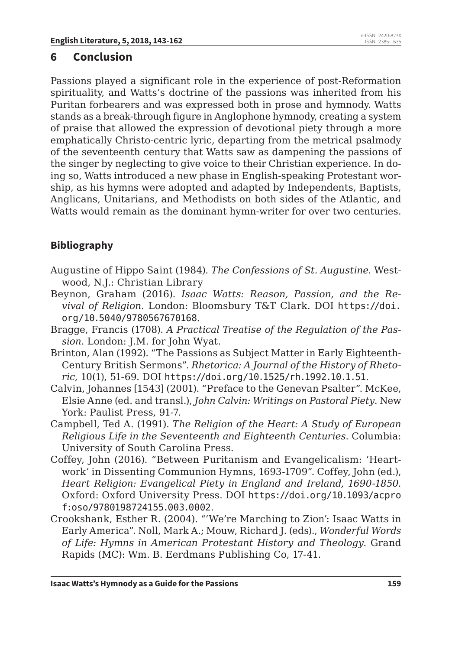## **6 Conclusion**

Passions played a significant role in the experience of post-Reformation spirituality, and Watts's doctrine of the passions was inherited from his Puritan forbearers and was expressed both in prose and hymnody. Watts stands as a break-through figure in Anglophone hymnody, creating a system of praise that allowed the expression of devotional piety through a more emphatically Christo-centric lyric, departing from the metrical psalmody of the seventeenth century that Watts saw as dampening the passions of the singer by neglecting to give voice to their Christian experience. In doing so, Watts introduced a new phase in English-speaking Protestant worship, as his hymns were adopted and adapted by Independents, Baptists, Anglicans, Unitarians, and Methodists on both sides of the Atlantic, and Watts would remain as the dominant hymn-writer for over two centuries.

## **Bibliography**

- Augustine of Hippo Saint (1984). *The Confessions of St. Augustine*. Westwood, N.J.: Christian Library
- Beynon, Graham (2016). *Isaac Watts: Reason, Passion, and the Revival of Religion*. London: Bloomsbury T&T Clark. DOI https://doi. org/10.5040/9780567670168.
- Bragge, Francis (1708). *A Practical Treatise of the Regulation of the Passion*. London: J.M. for John Wyat.
- Brinton, Alan (1992). "The Passions as Subject Matter in Early Eighteenth-Century British Sermons". *Rhetorica: A Journal of the History of Rhetoric*, 10(1), 51-69. DOI https://doi.org/10.1525/rh.1992.10.1.51.
- Calvin, Johannes [1543] (2001). "Preface to the Genevan Psalter". McKee, Elsie Anne (ed. and transl.), *John Calvin: Writings on Pastoral Piety*. New York: Paulist Press, 91-7.
- Campbell, Ted A. (1991). *The Religion of the Heart: A Study of European Religious Life in the Seventeenth and Eighteenth Centuries*. Columbia: University of South Carolina Press.
- Coffey, John (2016). "Between Puritanism and Evangelicalism: 'Heartwork' in Dissenting Communion Hymns, 1693-1709". Coffey, John (ed.), *Heart Religion: Evangelical Piety in England and Ireland, 1690-1850*. Oxford: Oxford University Press. DOI https://doi.org/10.1093/acpro f:oso/9780198724155.003.0002.
- Crookshank, Esther R. (2004). "'We're Marching to Zion': Isaac Watts in Early America". Noll, Mark A.; Mouw, Richard J. (eds)., *Wonderful Words of Life: Hymns in American Protestant History and Theology*. Grand Rapids (MC): Wm. B. Eerdmans Publishing Co, 17-41.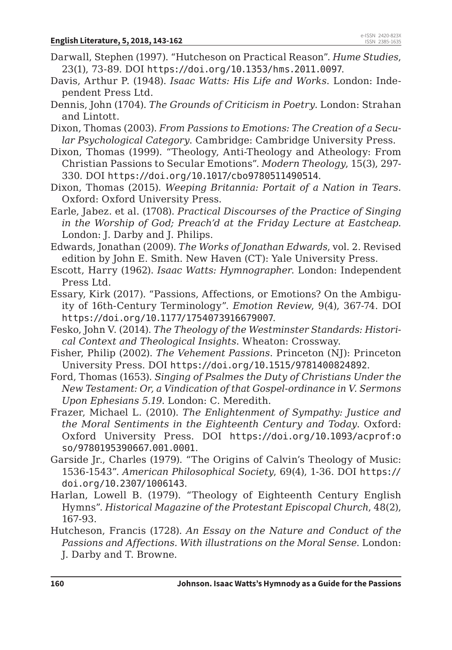- Darwall, Stephen (1997). "Hutcheson on Practical Reason". *Hume Studies*, 23(1), 73-89. DOI https://doi.org/10.1353/hms.2011.0097.
- Davis, Arthur P. (1948). *Isaac Watts: His Life and Works*. London: Independent Press Ltd.
- Dennis, John (1704). *The Grounds of Criticism in Poetry*. London: Strahan and Lintott.
- Dixon, Thomas (2003). *From Passions to Emotions: The Creation of a Secular Psychological Category*. Cambridge: Cambridge University Press.
- Dixon, Thomas (1999). "Theology, Anti-Theology and Atheology: From Christian Passions to Secular Emotions". *Modern Theology*, 15(3), 297- 330. DOI https://doi.org/10.1017/cbo9780511490514.
- Dixon, Thomas (2015). *Weeping Britannia: Portait of a Nation in Tears*. Oxford: Oxford University Press.
- Earle, Jabez. et al. (1708). *Practical Discourses of the Practice of Singing in the Worship of God; Preach'd at the Friday Lecture at Eastcheap*. London: J. Darby and J. Philips.
- Edwards, Jonathan (2009). *The Works of Jonathan Edwards*, vol. 2. Revised edition by John E. Smith. New Haven (CT): Yale University Press.
- Escott, Harry (1962). *Isaac Watts: Hymnographer*. London: Independent Press Ltd.
- Essary, Kirk (2017). "Passions, Affections, or Emotions? On the Ambiguity of 16th-Century Terminology". *Emotion Review*, 9(4), 367-74. DOI https://doi.org/10.1177/1754073916679007.
- Fesko, John V. (2014). *The Theology of the Westminster Standards: Historical Context and Theological Insights*. Wheaton: Crossway.
- Fisher, Philip (2002). *The Vehement Passions*. Princeton (NJ): Princeton University Press. DOI https://doi.org/10.1515/9781400824892.
- Ford, Thomas (1653). *Singing of Psalmes the Duty of Christians Under the New Testament: Or, a Vindication of that Gospel-ordinance in V. Sermons Upon Ephesians 5.19*. London: C. Meredith.
- Frazer, Michael L. (2010). *The Enlightenment of Sympathy: Justice and the Moral Sentiments in the Eighteenth Century and Today*. Oxford: Oxford University Press. DOI https://doi.org/10.1093/acprof:o so/9780195390667.001.0001.
- Garside Jr., Charles (1979). "The Origins of Calvin's Theology of Music: 1536-1543". *American Philosophical Society*, 69(4), 1-36. DOI https:// doi.org/10.2307/1006143.
- Harlan, Lowell B. (1979). "Theology of Eighteenth Century English Hymns". *Historical Magazine of the Protestant Episcopal Church*, 48(2), 167-93.
- Hutcheson, Francis (1728). *An Essay on the Nature and Conduct of the Passions and Affections. With illustrations on the Moral Sense*. London: J. Darby and T. Browne.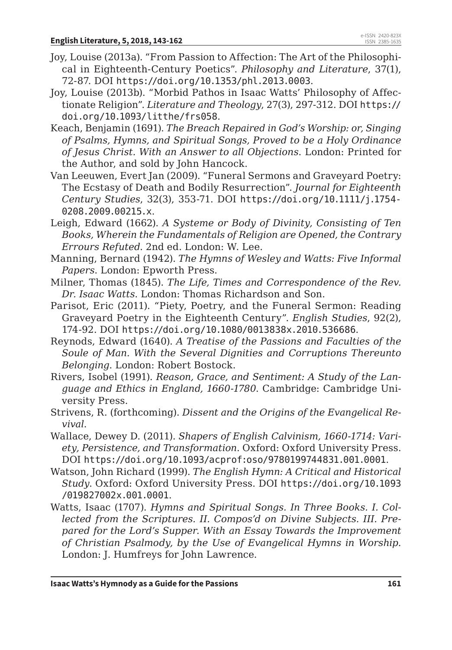- Joy, Louise (2013a). "From Passion to Affection: The Art of the Philosophical in Eighteenth-Century Poetics". *Philosophy and Literature*, 37(1), 72-87. DOI https://doi.org/10.1353/phl.2013.0003.
- Joy, Louise (2013b). "Morbid Pathos in Isaac Watts' Philosophy of Affectionate Religion". *Literature and Theology*, 27(3), 297-312. DOI https:// doi.org/10.1093/litthe/frs058.
- Keach, Benjamin (1691). *The Breach Repaired in God's Worship: or, Singing of Psalms, Hymns, and Spiritual Songs, Proved to be a Holy Ordinance of Jesus Christ. With an Answer to all Objections*. London: Printed for the Author, and sold by John Hancock.
- Van Leeuwen, Evert Jan (2009). "Funeral Sermons and Graveyard Poetry: The Ecstasy of Death and Bodily Resurrection". *Journal for Eighteenth Century Studies*, 32(3), 353-71. DOI https://doi.org/10.1111/j.1754- 0208.2009.00215.x.
- Leigh, Edward (1662). *A Systeme or Body of Divinity, Consisting of Ten Books, Wherein the Fundamentals of Religion are Opened, the Contrary Errours Refuted*. 2nd ed. London: W. Lee.
- Manning, Bernard (1942). *The Hymns of Wesley and Watts: Five Informal Papers*. London: Epworth Press.
- Milner, Thomas (1845). *The Life, Times and Correspondence of the Rev. Dr. Isaac Watts*. London: Thomas Richardson and Son.
- Parisot, Eric (2011). "Piety, Poetry, and the Funeral Sermon: Reading Graveyard Poetry in the Eighteenth Century". *English Studies*, 92(2), 174-92. DOI https://doi.org/10.1080/0013838x.2010.536686.
- Reynods, Edward (1640). *A Treatise of the Passions and Faculties of the Soule of Man. With the Several Dignities and Corruptions Thereunto Belonging*. London: Robert Bostock.
- Rivers, Isobel (1991). *Reason, Grace, and Sentiment: A Study of the Language and Ethics in England, 1660-1780*. Cambridge: Cambridge University Press.
- Strivens, R. (forthcoming). *Dissent and the Origins of the Evangelical Revival*.
- Wallace, Dewey D. (2011). *Shapers of English Calvinism, 1660-1714: Variety, Persistence, and Transformation*. Oxford: Oxford University Press. DOI https://doi.org/10.1093/acprof:oso/9780199744831.001.0001.
- Watson, John Richard (1999). *The English Hymn: A Critical and Historical Study*. Oxford: Oxford University Press. DOI https://doi.org/10.1093 /019827002x.001.0001.
- Watts, Isaac (1707). *Hymns and Spiritual Songs. In Three Books. I. Collected from the Scriptures. II. Compos'd on Divine Subjects. III. Prepared for the Lord's Supper. With an Essay Towards the Improvement of Christian Psalmody, by the Use of Evangelical Hymns in Worship*. London: J. Humfreys for John Lawrence.